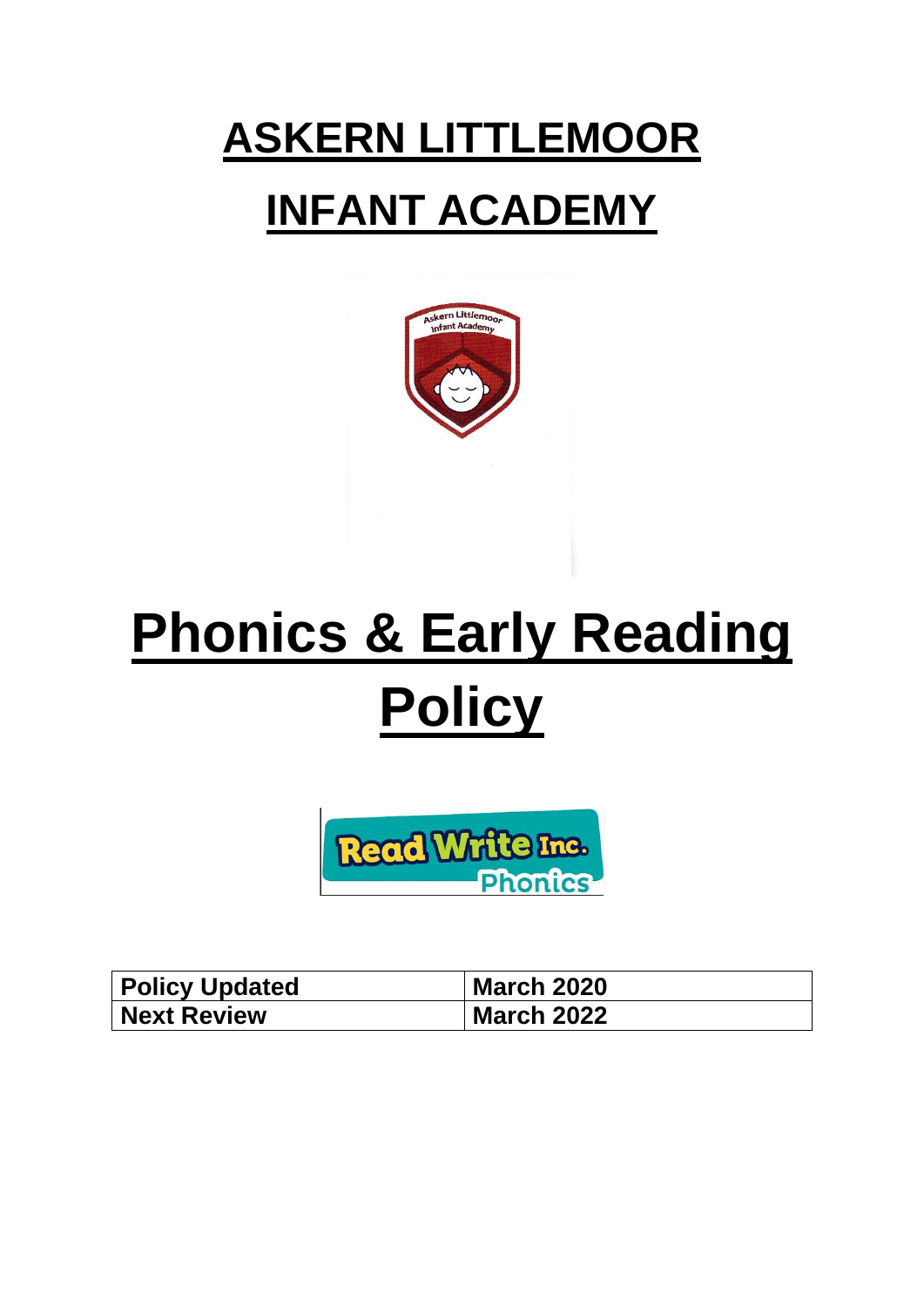# **ASKERN LITTLEMOOR INFANT ACADEMY**



# **Phonics & Early Reading Policy**



| <b>Policy Updated</b> | <b>March 2020</b> |
|-----------------------|-------------------|
| <b>Next Review</b>    | <b>March 2022</b> |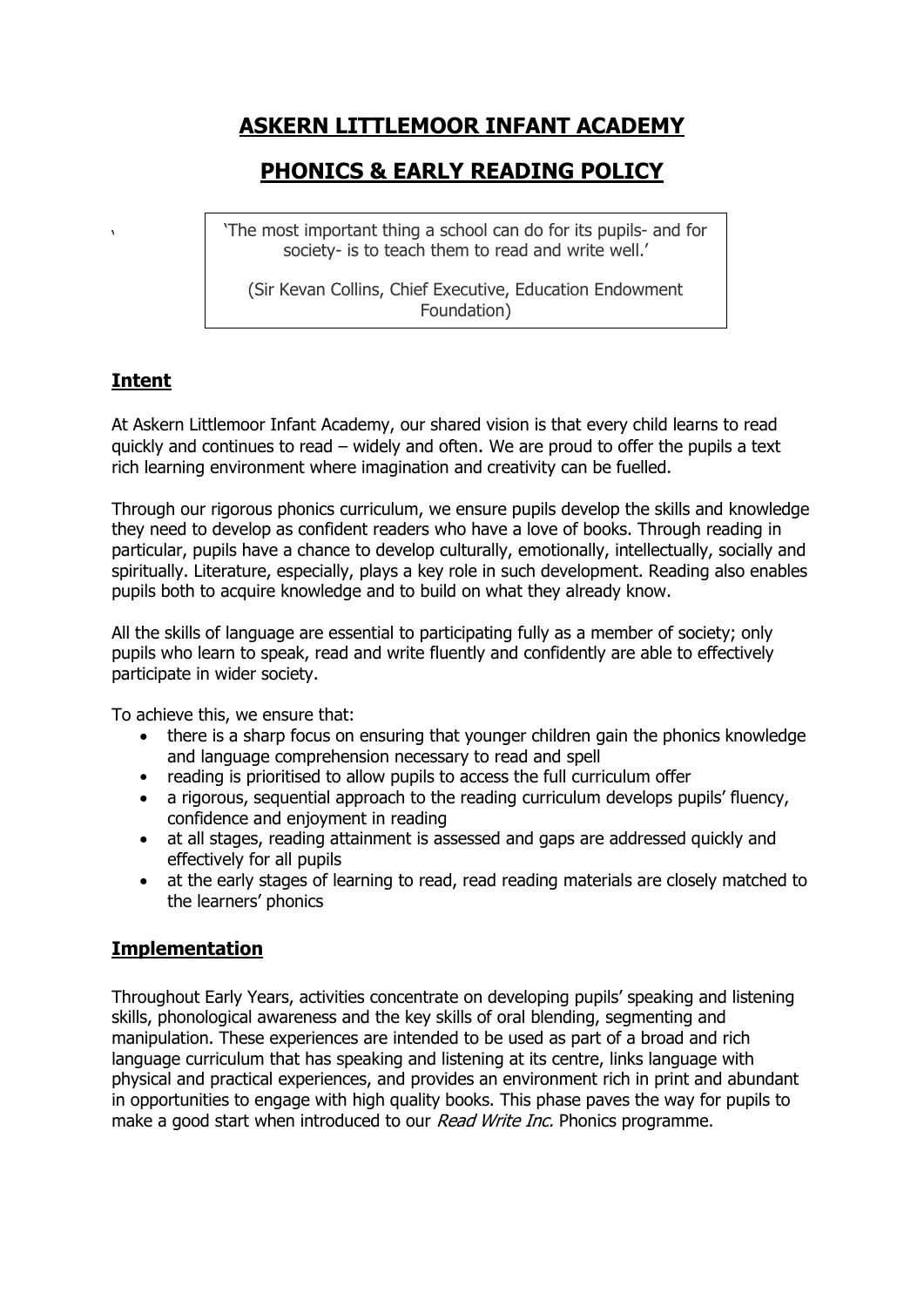# **ASKERN LITTLEMOOR INFANT ACADEMY**

## **PHONICS & EARLY READING POLICY**

'The most important thing a school can do for its pupils- and for society- is to teach them to read and write well.'

(Sir Kevan Collins, Chief Executive, Education Endowment Foundation)

### **Intent**

**'** 

At Askern Littlemoor Infant Academy, our shared vision is that every child learns to read quickly and continues to read – widely and often. We are proud to offer the pupils a text rich learning environment where imagination and creativity can be fuelled.

Through our rigorous phonics curriculum, we ensure pupils develop the skills and knowledge they need to develop as confident readers who have a love of books. Through reading in particular, pupils have a chance to develop culturally, emotionally, intellectually, socially and spiritually. Literature, especially, plays a key role in such development. Reading also enables pupils both to acquire knowledge and to build on what they already know.

All the skills of language are essential to participating fully as a member of society; only pupils who learn to speak, read and write fluently and confidently are able to effectively participate in wider society.

To achieve this, we ensure that:

- there is a sharp focus on ensuring that younger children gain the phonics knowledge and language comprehension necessary to read and spell
- reading is prioritised to allow pupils to access the full curriculum offer
- a rigorous, sequential approach to the reading curriculum develops pupils' fluency, confidence and enjoyment in reading
- at all stages, reading attainment is assessed and gaps are addressed quickly and effectively for all pupils
- at the early stages of learning to read, read reading materials are closely matched to the learners' phonics

#### **Implementation**

Throughout Early Years, activities concentrate on developing pupils' speaking and listening skills, phonological awareness and the key skills of oral blending, segmenting and manipulation. These experiences are intended to be used as part of a broad and rich language curriculum that has speaking and listening at its centre, links language with physical and practical experiences, and provides an environment rich in print and abundant in opportunities to engage with high quality books. This phase paves the way for pupils to make a good start when introduced to our Read Write Inc. Phonics programme.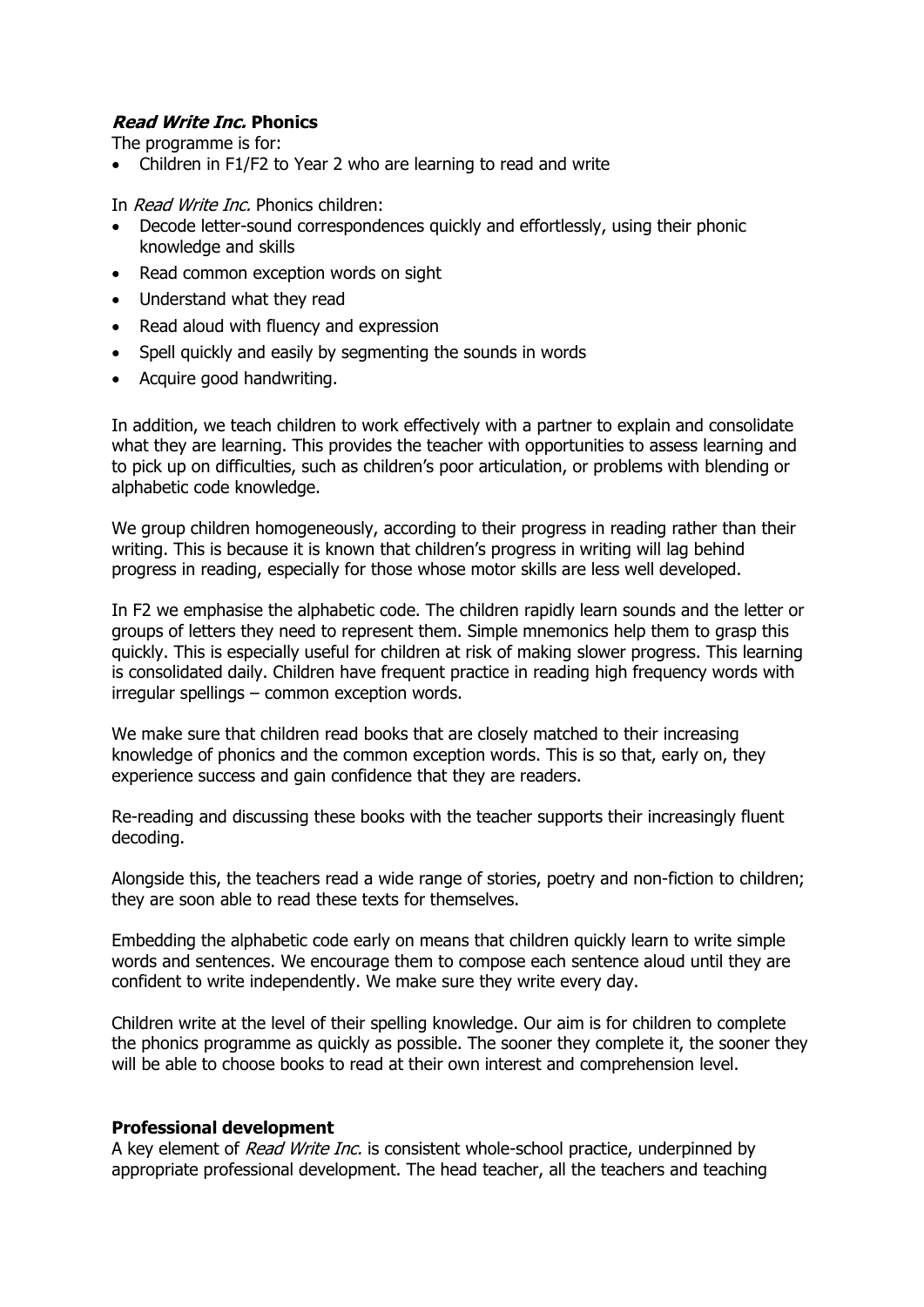#### **Read Write Inc. Phonics**

The programme is for:

• Children in F1/F2 to Year 2 who are learning to read and write

In Read Write Inc. Phonics children:

- Decode letter-sound correspondences quickly and effortlessly, using their phonic knowledge and skills
- Read common exception words on sight
- Understand what they read
- Read aloud with fluency and expression
- Spell quickly and easily by segmenting the sounds in words
- Acquire good handwriting.

In addition, we teach children to work effectively with a partner to explain and consolidate what they are learning. This provides the teacher with opportunities to assess learning and to pick up on difficulties, such as children's poor articulation, or problems with blending or alphabetic code knowledge.

We group children homogeneously, according to their progress in reading rather than their writing. This is because it is known that children's progress in writing will lag behind progress in reading, especially for those whose motor skills are less well developed.

In F2 we emphasise the alphabetic code. The children rapidly learn sounds and the letter or groups of letters they need to represent them. Simple mnemonics help them to grasp this quickly. This is especially useful for children at risk of making slower progress. This learning is consolidated daily. Children have frequent practice in reading high frequency words with irregular spellings – common exception words.

We make sure that children read books that are closely matched to their increasing knowledge of phonics and the common exception words. This is so that, early on, they experience success and gain confidence that they are readers.

Re-reading and discussing these books with the teacher supports their increasingly fluent decoding.

Alongside this, the teachers read a wide range of stories, poetry and non-fiction to children; they are soon able to read these texts for themselves.

Embedding the alphabetic code early on means that children quickly learn to write simple words and sentences. We encourage them to compose each sentence aloud until they are confident to write independently. We make sure they write every day.

Children write at the level of their spelling knowledge. Our aim is for children to complete the phonics programme as quickly as possible. The sooner they complete it, the sooner they will be able to choose books to read at their own interest and comprehension level.

#### **Professional development**

A key element of *Read Write Inc.* is consistent whole-school practice, underpinned by appropriate professional development. The head teacher, all the teachers and teaching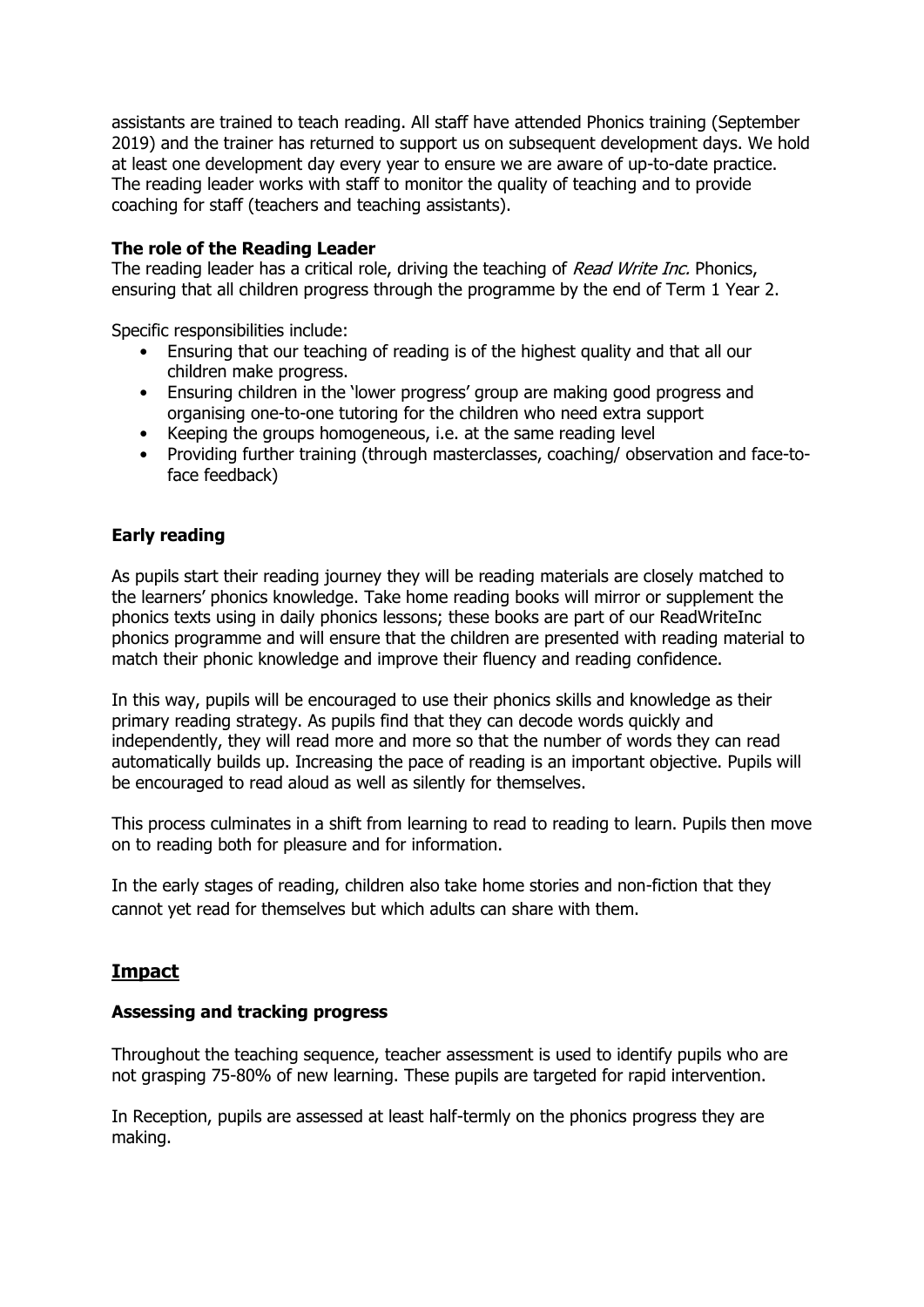assistants are trained to teach reading. All staff have attended Phonics training (September 2019) and the trainer has returned to support us on subsequent development days. We hold at least one development day every year to ensure we are aware of up-to-date practice. The reading leader works with staff to monitor the quality of teaching and to provide coaching for staff (teachers and teaching assistants).

#### **The role of the Reading Leader**

The reading leader has a critical role, driving the teaching of Read Write Inc. Phonics, ensuring that all children progress through the programme by the end of Term 1 Year 2.

Specific responsibilities include:

- Ensuring that our teaching of reading is of the highest quality and that all our children make progress.
- Ensuring children in the 'lower progress' group are making good progress and organising one-to-one tutoring for the children who need extra support
- Keeping the groups homogeneous, i.e. at the same reading level
- Providing further training (through masterclasses, coaching/ observation and face-toface feedback)

#### **Early reading**

As pupils start their reading journey they will be reading materials are closely matched to the learners' phonics knowledge. Take home reading books will mirror or supplement the phonics texts using in daily phonics lessons; these books are part of our ReadWriteInc phonics programme and will ensure that the children are presented with reading material to match their phonic knowledge and improve their fluency and reading confidence.

In this way, pupils will be encouraged to use their phonics skills and knowledge as their primary reading strategy. As pupils find that they can decode words quickly and independently, they will read more and more so that the number of words they can read automatically builds up. Increasing the pace of reading is an important objective. Pupils will be encouraged to read aloud as well as silently for themselves.

This process culminates in a shift from learning to read to reading to learn. Pupils then move on to reading both for pleasure and for information.

In the early stages of reading, children also take home stories and non-fiction that they cannot yet read for themselves but which adults can share with them.

#### **Impact**

#### **Assessing and tracking progress**

Throughout the teaching sequence, teacher assessment is used to identify pupils who are not grasping 75-80% of new learning. These pupils are targeted for rapid intervention.

In Reception, pupils are assessed at least half-termly on the phonics progress they are making.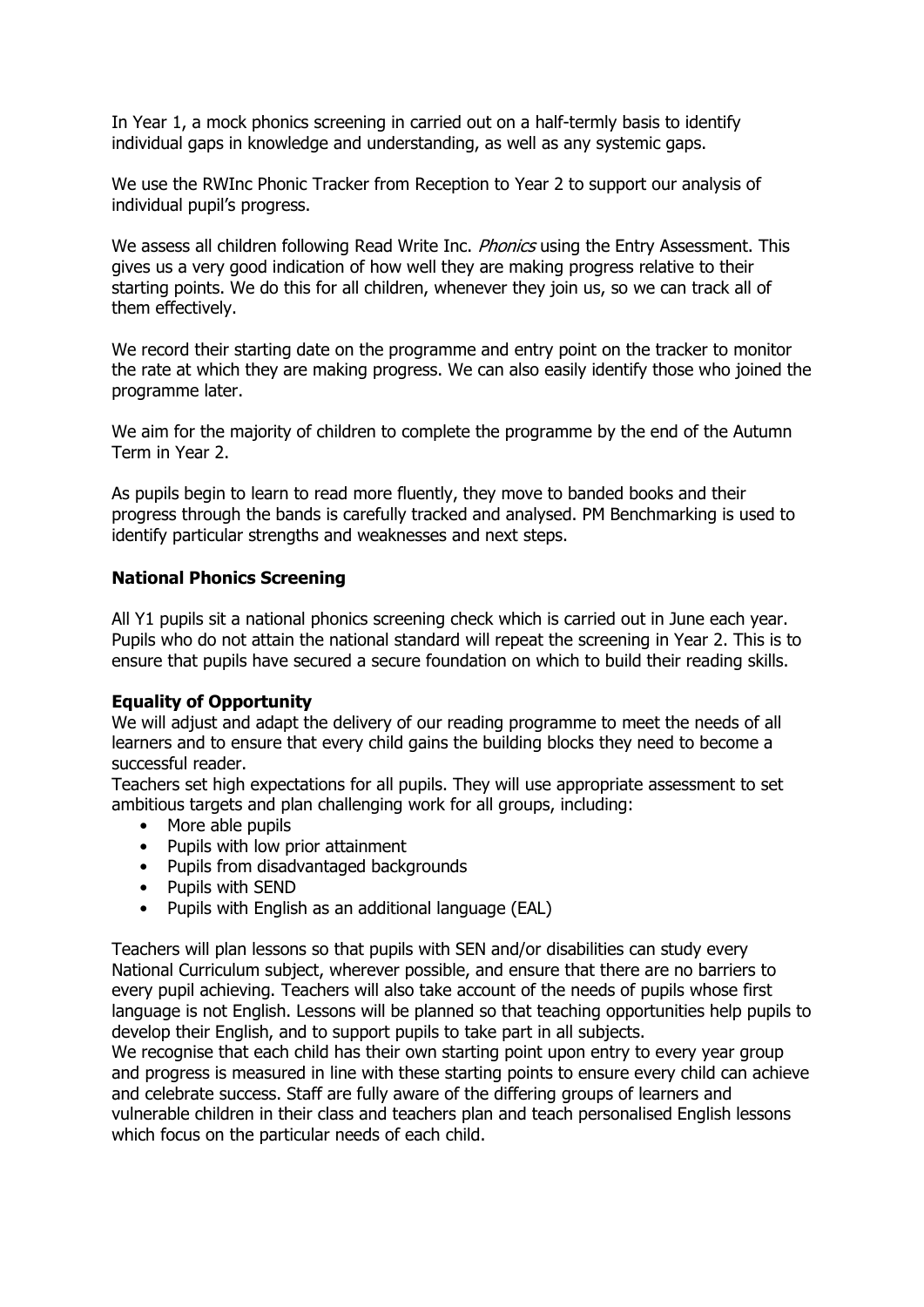In Year 1, a mock phonics screening in carried out on a half-termly basis to identify individual gaps in knowledge and understanding, as well as any systemic gaps.

We use the RWInc Phonic Tracker from Reception to Year 2 to support our analysis of individual pupil's progress.

We assess all children following Read Write Inc. *Phonics* using the Entry Assessment. This gives us a very good indication of how well they are making progress relative to their starting points. We do this for all children, whenever they join us, so we can track all of them effectively.

We record their starting date on the programme and entry point on the tracker to monitor the rate at which they are making progress. We can also easily identify those who joined the programme later.

We aim for the majority of children to complete the programme by the end of the Autumn Term in Year 2.

As pupils begin to learn to read more fluently, they move to banded books and their progress through the bands is carefully tracked and analysed. PM Benchmarking is used to identify particular strengths and weaknesses and next steps.

#### **National Phonics Screening**

All Y1 pupils sit a national phonics screening check which is carried out in June each year. Pupils who do not attain the national standard will repeat the screening in Year 2. This is to ensure that pupils have secured a secure foundation on which to build their reading skills.

#### **Equality of Opportunity**

We will adjust and adapt the delivery of our reading programme to meet the needs of all learners and to ensure that every child gains the building blocks they need to become a successful reader.

Teachers set high expectations for all pupils. They will use appropriate assessment to set ambitious targets and plan challenging work for all groups, including:

- More able pupils
- Pupils with low prior attainment
- Pupils from disadvantaged backgrounds
- Pupils with SEND
- Pupils with English as an additional language (EAL)

Teachers will plan lessons so that pupils with SEN and/or disabilities can study every National Curriculum subject, wherever possible, and ensure that there are no barriers to every pupil achieving. Teachers will also take account of the needs of pupils whose first language is not English. Lessons will be planned so that teaching opportunities help pupils to develop their English, and to support pupils to take part in all subjects.

We recognise that each child has their own starting point upon entry to every year group and progress is measured in line with these starting points to ensure every child can achieve and celebrate success. Staff are fully aware of the differing groups of learners and vulnerable children in their class and teachers plan and teach personalised English lessons which focus on the particular needs of each child.